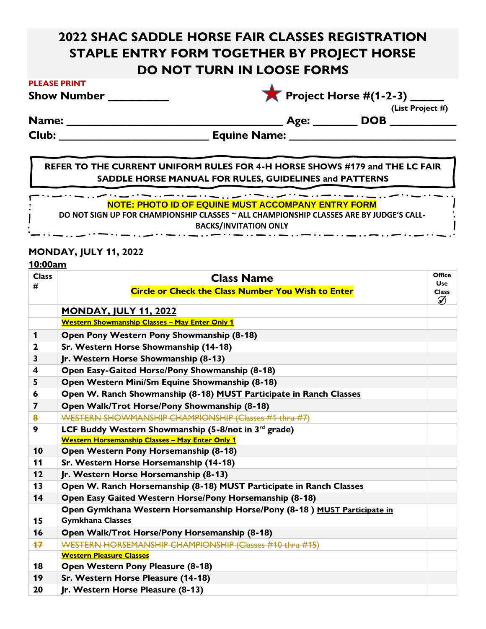# **2022 SHAC SADDLE HORSE FAIR CLASSES REGISTRATION STAPLE ENTRY FORM TOGETHER BY PROJECT HORSE DO NOT TURN IN LOOSE FORMS**

|  |  | <b>Show Number</b> |  |
|--|--|--------------------|--|
|--|--|--------------------|--|

| <b>Project Horse #(1-2-3)</b> |  |  |
|-------------------------------|--|--|

**Name: \_\_\_\_\_\_\_\_\_\_\_\_\_\_\_\_\_\_\_\_\_\_\_\_\_\_\_\_\_\_\_\_\_\_\_\_\_\_\_ Age: \_\_\_\_\_\_\_\_ DOB \_\_\_\_\_\_\_\_\_\_\_\_**

 **(List Project #)**

**Club: \_\_\_\_\_\_\_\_\_\_\_\_\_\_\_\_\_\_\_\_\_\_\_\_\_\_\_ Equine Name: \_\_\_\_\_\_\_\_\_\_\_\_\_\_\_\_\_\_\_\_\_\_\_\_\_\_\_\_\_\_**

**REFER TO THE CURRENT UNIFORM RULES FOR 4-H HORSE SHOWS #179 and THE LC FAIR SADDLE HORSE MANUAL FOR RULES, GUIDELINES and PATTERNS**

والمستوديات والمساواة بسياد ويستنقص والمستنقر والمساواة المساواة السيادة المساواة المساواة المساواة المساواة **NOTE: PHOTO ID OF EQUINE MUST ACCOMPANY ENTRY FORM**

**DO NOT SIGN UP FOR CHAMPIONSHIP CLASSES ~ ALL CHAMPIONSHIP CLASSES ARE BY JUDGE'S CALL-**

**BACKS/INVITATION ONLY**<br>— . . .— . . .— . . .— . . .— . . .— . . .— . . .— . . .— . . .

### **MONDAY, JULY 11, 2022**

والمستواد المساور والمساورة والمساور والمساور

#### **10:00am**

| <b>Class</b> | <b>Class Name</b>                                                                                   | <b>Office</b><br><b>Use</b> |
|--------------|-----------------------------------------------------------------------------------------------------|-----------------------------|
| #            | <b>Circle or Check the Class Number You Wish to Enter</b>                                           | <b>Class</b><br>Ø           |
|              | <u>MONDAY, JULY 11, 2022</u>                                                                        |                             |
|              | <b>Western Showmanship Classes - May Enter Only 1</b>                                               |                             |
| 1            | Open Pony Western Pony Showmanship (8-18)                                                           |                             |
| $\mathbf{2}$ | Sr. Western Horse Showmanship (14-18)                                                               |                             |
| 3            | Jr. Western Horse Showmanship (8-13)                                                                |                             |
| 4            | Open Easy-Gaited Horse/Pony Showmanship (8-18)                                                      |                             |
| 5            | Open Western Mini/Sm Equine Showmanship (8-18)                                                      |                             |
| 6            | Open W. Ranch Showmanship (8-18) MUST Participate in Ranch Classes                                  |                             |
| 7            | Open Walk/Trot Horse/Pony Showmanship (8-18)                                                        |                             |
| 8            | WESTERN SHOWMANSHIP CHAMPIONSHIP (Classes #1 thru #7)                                               |                             |
| 9            | LCF Buddy Western Showmanship (5-8/not in 3 <sup>rd</sup> grade)                                    |                             |
|              | <b>Western Horsemanship Classes - May Enter Only 1</b>                                              |                             |
| 10           | Open Western Pony Horsemanship (8-18)                                                               |                             |
| 11           | Sr. Western Horse Horsemanship (14-18)                                                              |                             |
| 12           | Jr. Western Horse Horsemanship (8-13)                                                               |                             |
| 13           | Open W. Ranch Horsemanship (8-18) MUST Participate in Ranch Classes                                 |                             |
| 14           | Open Easy Gaited Western Horse/Pony Horsemanship (8-18)                                             |                             |
| 15           | Open Gymkhana Western Horsemanship Horse/Pony (8-18) MUST Participate in<br><b>Gymkhana Classes</b> |                             |
| 16           | Open Walk/Trot Horse/Pony Horsemanship (8-18)                                                       |                             |
| 17           | WESTERN HORSEMANSHIP CHAMPIONSHIP (Classes #10 thru #15)                                            |                             |
|              | <b>Western Pleasure Classes</b>                                                                     |                             |
| 18           | <b>Open Western Pony Pleasure (8-18)</b>                                                            |                             |
| 19           | Sr. Western Horse Pleasure (14-18)                                                                  |                             |
| 20           | Jr. Western Horse Pleasure (8-13)                                                                   |                             |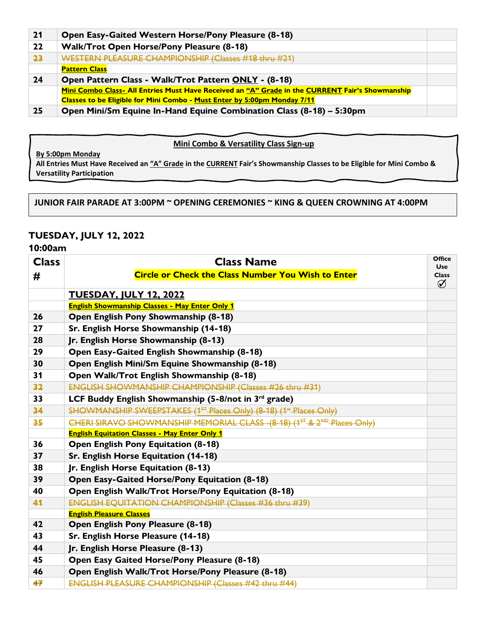| 21 | <b>Open Easy-Gaited Western Horse/Pony Pleasure (8-18)</b>                                      |  |
|----|-------------------------------------------------------------------------------------------------|--|
| 22 | <b>Walk/Trot Open Horse/Pony Pleasure (8-18)</b>                                                |  |
| 23 | WESTERN PLEASURE CHAMPIONSHIP (Classes #18 thru #21)                                            |  |
|    | <b>Pattern Class</b>                                                                            |  |
| 24 | Open Pattern Class - Walk/Trot Pattern ONLY - (8-18)                                            |  |
|    | Mini Combo Class- All Entries Must Have Received an "A" Grade in the CURRENT Fair's Showmanship |  |
|    | Classes to be Eligible for Mini Combo - Must Enter by 5:00pm Monday 7/11                        |  |
| 25 | Open Mini/Sm Equine In-Hand Equine Combination Class (8-18) - 5:30pm                            |  |

#### **Mini Combo & Versatility Class Sign-up**

**By 5:00pm Monday**

**All Entries Must Have Received an "A" Grade in the CURRENT Fair's Showmanship Classes to be Eligible for Mini Combo & Versatility Participation**

**JUNIOR FAIR PARADE AT 3:00PM ~ OPENING CEREMONIES ~ KING & QUEEN CROWNING AT 4:00PM**

#### **TUESDAY, JULY 12, 2022**

#### **10:00am**

| <b>Class</b> | <b>Class Name</b>                                                                                  | <b>Office</b><br><b>Use</b> |
|--------------|----------------------------------------------------------------------------------------------------|-----------------------------|
| #            | <b>Circle or Check the Class Number You Wish to Enter</b>                                          | <b>Class</b><br>Ø           |
|              | <b>TUESDAY, JULY 12, 2022</b>                                                                      |                             |
|              | <b>English Showmanship Classes - May Enter Only 1</b>                                              |                             |
| 26           | Open English Pony Showmanship (8-18)                                                               |                             |
| 27           | Sr. English Horse Showmanship (14-18)                                                              |                             |
| 28           | Jr. English Horse Showmanship (8-13)                                                               |                             |
| 29           | Open Easy-Gaited English Showmanship (8-18)                                                        |                             |
| 30           | Open English Mini/Sm Equine Showmanship (8-18)                                                     |                             |
| 31           | Open Walk/Trot English Showmanship (8-18)                                                          |                             |
| 32           | ENGLISH SHOWMANSHIP CHAMPIONSHIP (Classes #26 thru #31)                                            |                             |
| 33           | LCF Buddy English Showmanship (5-8/not in 3rd grade)                                               |                             |
| 34           | SHOWMANSHIP SWEEPSTAKES (1 <sup>ST</sup> Places Only) (8-18) (1 <sup>st</sup> Places Only)         |                             |
| 35           | CHERI SIRAVO SHOWMANSHIP MEMORIAL CLASS - (8-18) (1 <sup>ST</sup> -& 2 <sup>ND</sup> -Places Only) |                             |
|              | <b>English Equitation Classes - May Enter Only 1</b>                                               |                             |
| 36           | <b>Open English Pony Equitation (8-18)</b>                                                         |                             |
| 37           | Sr. English Horse Equitation (14-18)                                                               |                             |
| 38           | Jr. English Horse Equitation (8-13)                                                                |                             |
| 39           | <b>Open Easy-Gaited Horse/Pony Equitation (8-18)</b>                                               |                             |
| 40           | Open English Walk/Trot Horse/Pony Equitation (8-18)                                                |                             |
| 41           | <b>ENGLISH EQUITATION CHAMPIONSHIP (Classes #36 thru #39)</b>                                      |                             |
|              | <b>English Pleasure Classes</b>                                                                    |                             |
| 42           | Open English Pony Pleasure (8-18)                                                                  |                             |
| 43           | Sr. English Horse Pleasure (14-18)                                                                 |                             |
| 44           | Jr. English Horse Pleasure (8-13)                                                                  |                             |
| 45           | Open Easy Gaited Horse/Pony Pleasure (8-18)                                                        |                             |
| 46           | Open English Walk/Trot Horse/Pony Pleasure (8-18)                                                  |                             |
| 47           | <b>ENGLISH PLEASURE CHAMPIONSHIP (Classes #42 thru #44)</b>                                        |                             |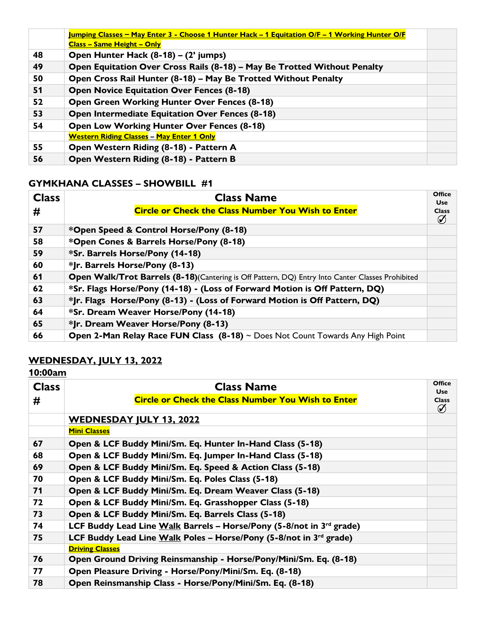|    | <u><b>Jumping Classes – May Enter 3 - Choose 1 Hunter Hack – 1 Equitation O/F – 1 Working Hunter O/F</b></u> |  |
|----|--------------------------------------------------------------------------------------------------------------|--|
|    | <b>Class – Same Height – Only</b>                                                                            |  |
| 48 | Open Hunter Hack (8-18) – (2' jumps)                                                                         |  |
| 49 | Open Equitation Over Cross Rails (8-18) - May Be Trotted Without Penalty                                     |  |
| 50 | Open Cross Rail Hunter (8-18) - May Be Trotted Without Penalty                                               |  |
| 51 | <b>Open Novice Equitation Over Fences (8-18)</b>                                                             |  |
| 52 | <b>Open Green Working Hunter Over Fences (8-18)</b>                                                          |  |
| 53 | <b>Open Intermediate Equitation Over Fences (8-18)</b>                                                       |  |
| 54 | <b>Open Low Working Hunter Over Fences (8-18)</b>                                                            |  |
|    | <b>Western Riding Classes - May Enter 1 Only</b>                                                             |  |
| 55 | Open Western Riding (8-18) - Pattern A                                                                       |  |
| 56 | Open Western Riding (8-18) - Pattern B                                                                       |  |

### **GYMKHANA CLASSES – SHOWBILL #1**

| <b>Class</b> | <b>Class Name</b>                                                                                       | <b>Office</b><br><b>Use</b> |
|--------------|---------------------------------------------------------------------------------------------------------|-----------------------------|
| #            | <b>Circle or Check the Class Number You Wish to Enter</b>                                               | <b>Class</b><br>Ø           |
| 57           | *Open Speed & Control Horse/Pony (8-18)                                                                 |                             |
| 58           | *Open Cones & Barrels Horse/Pony (8-18)                                                                 |                             |
| 59           | *Sr. Barrels Horse/Pony (14-18)                                                                         |                             |
| 60           | *Jr. Barrels Horse/Pony (8-13)                                                                          |                             |
| 61           | Open Walk/Trot Barrels (8-18)(Cantering is Off Pattern, DQ) Entry Into Canter Classes Prohibited        |                             |
| 62           | *Sr. Flags Horse/Pony (14-18) - (Loss of Forward Motion is Off Pattern, DQ)                             |                             |
| 63           | *Jr. Flags Horse/Pony (8-13) - (Loss of Forward Motion is Off Pattern, DQ)                              |                             |
| 64           | *Sr. Dream Weaver Horse/Pony (14-18)                                                                    |                             |
| 65           | *Jr. Dream Weaver Horse/Pony (8-13)                                                                     |                             |
| 66           | <b>Open 2-Man Relay Race FUN Class <math>(8-18)</math></b> $\sim$ Does Not Count Towards Any High Point |                             |

## **WEDNESDAY, JULY 13, 2022**

### **10:00am**

| <b>Class</b><br># | <b>Class Name</b><br><b>Circle or Check the Class Number You Wish to Enter</b> | <b>Office</b><br><b>Use</b><br><b>Class</b><br>Ø |
|-------------------|--------------------------------------------------------------------------------|--------------------------------------------------|
|                   | <b>WEDNESDAY JULY 13, 2022</b>                                                 |                                                  |
|                   | <b>Mini Classes</b>                                                            |                                                  |
| 67                | Open & LCF Buddy Mini/Sm. Eq. Hunter In-Hand Class (5-18)                      |                                                  |
| 68                | Open & LCF Buddy Mini/Sm. Eq. Jumper In-Hand Class (5-18)                      |                                                  |
| 69                | Open & LCF Buddy Mini/Sm. Eq. Speed & Action Class (5-18)                      |                                                  |
| 70                | Open & LCF Buddy Mini/Sm. Eq. Poles Class (5-18)                               |                                                  |
| 71                | Open & LCF Buddy Mini/Sm. Eq. Dream Weaver Class (5-18)                        |                                                  |
| 72                | Open & LCF Buddy Mini/Sm. Eq. Grasshopper Class (5-18)                         |                                                  |
| 73                | Open & LCF Buddy Mini/Sm. Eq. Barrels Class (5-18)                             |                                                  |
| 74                | LCF Buddy Lead Line Walk Barrels - Horse/Pony (5-8/not in 3rd grade)           |                                                  |
| 75                | LCF Buddy Lead Line Walk Poles - Horse/Pony (5-8/not in 3rd grade)             |                                                  |
|                   | <b>Driving Classes</b>                                                         |                                                  |
| 76                | Open Ground Driving Reinsmanship - Horse/Pony/Mini/Sm. Eq. (8-18)              |                                                  |
| 77                | Open Pleasure Driving - Horse/Pony/Mini/Sm. Eq. (8-18)                         |                                                  |
| 78                | Open Reinsmanship Class - Horse/Pony/Mini/Sm. Eq. (8-18)                       |                                                  |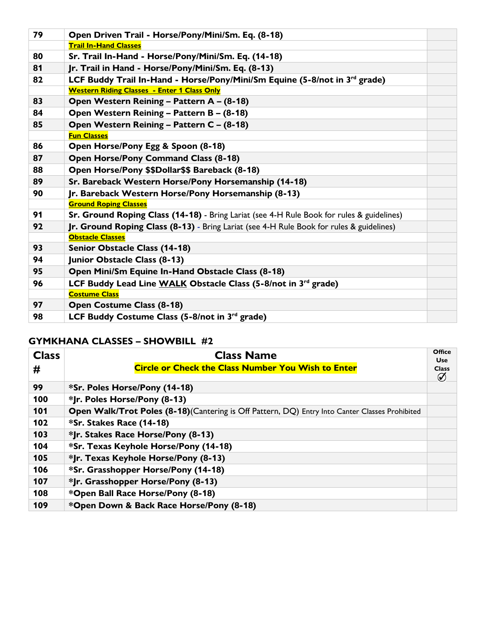| 79 | Open Driven Trail - Horse/Pony/Mini/Sm. Eq. (8-18)                                              |  |
|----|-------------------------------------------------------------------------------------------------|--|
|    | <b>Trail In-Hand Classes</b>                                                                    |  |
| 80 | Sr. Trail In-Hand - Horse/Pony/Mini/Sm. Eq. (14-18)                                             |  |
| 81 | Jr. Trail in Hand - Horse/Pony/Mini/Sm. Eq. (8-13)                                              |  |
| 82 | LCF Buddy Trail In-Hand - Horse/Pony/Mini/Sm Equine (5-8/not in 3 <sup>rd</sup> grade)          |  |
|    | <b>Western Riding Classes - Enter 1 Class Only</b>                                              |  |
| 83 | Open Western Reining - Pattern A - (8-18)                                                       |  |
| 84 | Open Western Reining - Pattern B - (8-18)                                                       |  |
| 85 | Open Western Reining - Pattern C - (8-18)                                                       |  |
|    | <b>Fun Classes</b>                                                                              |  |
| 86 | Open Horse/Pony Egg & Spoon (8-18)                                                              |  |
| 87 | Open Horse/Pony Command Class (8-18)                                                            |  |
| 88 | Open Horse/Pony \$\$Dollar\$\$ Bareback (8-18)                                                  |  |
| 89 | Sr. Bareback Western Horse/Pony Horsemanship (14-18)                                            |  |
| 90 | Jr. Bareback Western Horse/Pony Horsemanship (8-13)                                             |  |
|    | <b>Ground Roping Classes</b>                                                                    |  |
| 91 | Sr. Ground Roping Class (14-18) - Bring Lariat (see 4-H Rule Book for rules & guidelines)       |  |
| 92 | <b>Jr. Ground Roping Class (8-13)</b> - Bring Lariat (see 4-H Rule Book for rules & guidelines) |  |
|    | <b>Obstacle Classes</b>                                                                         |  |
| 93 | <b>Senior Obstacle Class (14-18)</b>                                                            |  |
| 94 | Junior Obstacle Class (8-13)                                                                    |  |
| 95 | Open Mini/Sm Equine In-Hand Obstacle Class (8-18)                                               |  |
| 96 | LCF Buddy Lead Line WALK Obstacle Class (5-8/not in 3rd grade)                                  |  |
|    | <b>Costume Class</b>                                                                            |  |
| 97 | <b>Open Costume Class (8-18)</b>                                                                |  |
| 98 | LCF Buddy Costume Class (5-8/not in 3rd grade)                                                  |  |
|    |                                                                                                 |  |

### **GYMKHANA CLASSES – SHOWBILL #2**

| <b>Class</b> | <b>Class Name</b>                                                                               | <b>Office</b><br><b>Use</b> |
|--------------|-------------------------------------------------------------------------------------------------|-----------------------------|
| #            | <b>Circle or Check the Class Number You Wish to Enter</b>                                       | <b>Class</b><br>$\emptyset$ |
| 99           | *Sr. Poles Horse/Pony (14-18)                                                                   |                             |
| 100          | *Jr. Poles Horse/Pony (8-13)                                                                    |                             |
| 101          | Open Walk/Trot Poles (8-18) (Cantering is Off Pattern, DQ) Entry Into Canter Classes Prohibited |                             |
| 102          | *Sr. Stakes Race (14-18)                                                                        |                             |
| 103          | *Jr. Stakes Race Horse/Pony (8-13)                                                              |                             |
| 104          | *Sr. Texas Keyhole Horse/Pony (14-18)                                                           |                             |
| 105          | *Jr. Texas Keyhole Horse/Pony (8-13)                                                            |                             |
| 106          | *Sr. Grasshopper Horse/Pony (14-18)                                                             |                             |
| 107          | *Jr. Grasshopper Horse/Pony (8-13)                                                              |                             |
| 108          | *Open Ball Race Horse/Pony (8-18)                                                               |                             |
| 109          | *Open Down & Back Race Horse/Pony (8-18)                                                        |                             |